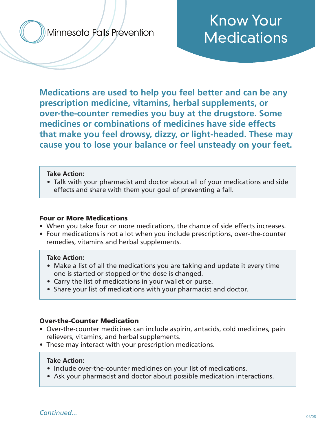Minnesota Falls Prevention

# Know Your **Medications**

**Medications are used to help you feel better and can be any prescription medicine, vitamins, herbal supplements, or over-the-counter remedies you buy at the drugstore. Some medicines or combinations of medicines have side effects that make you feel drowsy, dizzy, or light-headed. These may cause you to lose your balance or feel unsteady on your feet.**

#### **Take Action:**

• Talk with your pharmacist and doctor about all of your medications and side effects and share with them your goal of preventing a fall.

#### Four or More Medications

- When you take four or more medications, the chance of side effects increases.
- Four medications is not a lot when you include prescriptions, over-the-counter remedies, vitamins and herbal supplements.

### **Take Action:**

- Make a list of all the medications you are taking and update it every time one is started or stopped or the dose is changed.
- Carry the list of medications in your wallet or purse.
- Share your list of medications with your pharmacist and doctor.

### Over-the-Counter Medication

- Over-the-counter medicines can include aspirin, antacids, cold medicines, pain relievers, vitamins, and herbal supplements.
- These may interact with your prescription medications.

### **Take Action:**

- Include over-the-counter medicines on your list of medications.
- Ask your pharmacist and doctor about possible medication interactions.